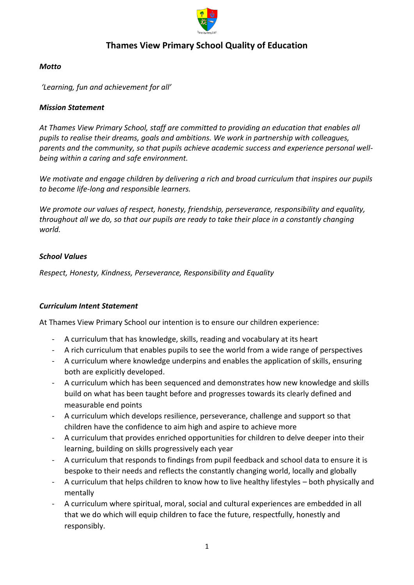

# **Thames View Primary School Quality of Education**

### *Motto*

*'Learning, fun and achievement for all'* 

#### *Mission Statement*

*At Thames View Primary School, staff are committed to providing an education that enables all pupils to realise their dreams, goals and ambitions. We work in partnership with colleagues, parents and the community, so that pupils achieve academic success and experience personal wellbeing within a caring and safe environment.*

*We motivate and engage children by delivering a rich and broad curriculum that inspires our pupils to become life-long and responsible learners.*

*We promote our values of respect, honesty, friendship, perseverance, responsibility and equality, throughout all we do, so that our pupils are ready to take their place in a constantly changing world.* 

#### *School Values*

*Respect, Honesty, Kindness, Perseverance, Responsibility and Equality* 

### *Curriculum Intent Statement*

At Thames View Primary School our intention is to ensure our children experience:

- A curriculum that has knowledge, skills, reading and vocabulary at its heart
- A rich curriculum that enables pupils to see the world from a wide range of perspectives
- A curriculum where knowledge underpins and enables the application of skills, ensuring both are explicitly developed.
- A curriculum which has been sequenced and demonstrates how new knowledge and skills build on what has been taught before and progresses towards its clearly defined and measurable end points
- A curriculum which develops resilience, perseverance, challenge and support so that children have the confidence to aim high and aspire to achieve more
- A curriculum that provides enriched opportunities for children to delve deeper into their learning, building on skills progressively each year
- A curriculum that responds to findings from pupil feedback and school data to ensure it is bespoke to their needs and reflects the constantly changing world, locally and globally
- A curriculum that helps children to know how to live healthy lifestyles both physically and mentally
- A curriculum where spiritual, moral, social and cultural experiences are embedded in all that we do which will equip children to face the future, respectfully, honestly and responsibly.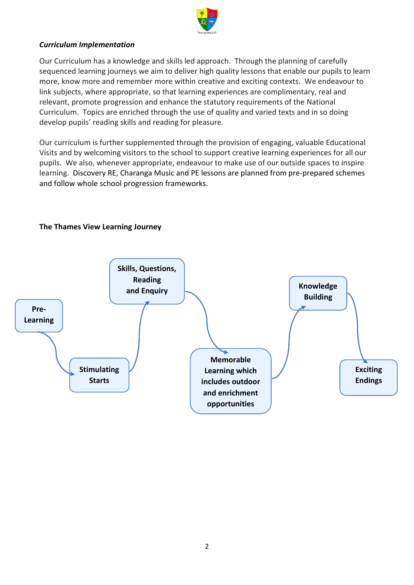

### *Curriculum Implementation*

Our Curriculum has a knowledge and skills led approach. Through the planning of carefully sequenced learning journeys we aim to deliver high quality lessons that enable our pupils to learn more, know more and remember more within creative and exciting contexts. We endeavour to link subjects, where appropriate, so that learning experiences are complimentary, real and relevant, promote progression and enhance the statutory requirements of the National Curriculum. Topics are enriched through the use of quality and varied texts and in so doing develop pupils' reading skills and reading for pleasure.

Our curriculum is further supplemented through the provision of engaging, valuable Educational Visits and by welcoming visitors to the school to support creative learning experiences for all our pupils. We also, whenever appropriate, endeavour to make use of our outside spaces to inspire learning. Discovery RE, Charanga Music and PE lessons are planned from pre-prepared schemes and follow whole school progression frameworks.



#### **The Thames View Learning Journey**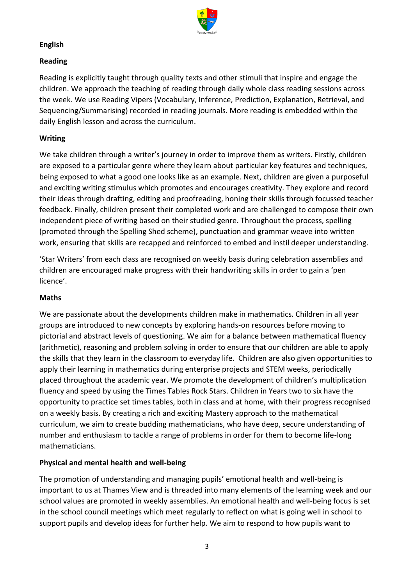

### **English**

## **Reading**

Reading is explicitly taught through quality texts and other stimuli that inspire and engage the children. We approach the teaching of reading through daily whole class reading sessions across the week. We use Reading Vipers (Vocabulary, Inference, Prediction, Explanation, Retrieval, and Sequencing/Summarising) recorded in reading journals. More reading is embedded within the daily English lesson and across the curriculum.

## **Writing**

We take children through a writer's journey in order to improve them as writers. Firstly, children are exposed to a particular genre where they learn about particular key features and techniques, being exposed to what a good one looks like as an example. Next, children are given a purposeful and exciting writing stimulus which promotes and encourages creativity. They explore and record their ideas through drafting, editing and proofreading, honing their skills through focussed teacher feedback. Finally, children present their completed work and are challenged to compose their own independent piece of writing based on their studied genre. Throughout the process, spelling (promoted through the Spelling Shed scheme), punctuation and grammar weave into written work, ensuring that skills are recapped and reinforced to embed and instil deeper understanding.

'Star Writers' from each class are recognised on weekly basis during celebration assemblies and children are encouraged make progress with their handwriting skills in order to gain a 'pen licence'.

### **Maths**

We are passionate about the developments children make in mathematics. Children in all year groups are introduced to new concepts by exploring hands-on resources before moving to pictorial and abstract levels of questioning. We aim for a balance between mathematical fluency (arithmetic), reasoning and problem solving in order to ensure that our children are able to apply the skills that they learn in the classroom to everyday life. Children are also given opportunities to apply their learning in mathematics during enterprise projects and STEM weeks, periodically placed throughout the academic year. We promote the development of children's multiplication fluency and speed by using the Times Tables Rock Stars. Children in Years two to six have the opportunity to practice set times tables, both in class and at home, with their progress recognised on a weekly basis. By creating a rich and exciting Mastery approach to the mathematical curriculum, we aim to create budding mathematicians, who have deep, secure understanding of number and enthusiasm to tackle a range of problems in order for them to become life-long mathematicians.

### **Physical and mental health and well-being**

The promotion of understanding and managing pupils' emotional health and well-being is important to us at Thames View and is threaded into many elements of the learning week and our school values are promoted in weekly assemblies. An emotional health and well-being focus is set in the school council meetings which meet regularly to reflect on what is going well in school to support pupils and develop ideas for further help. We aim to respond to how pupils want to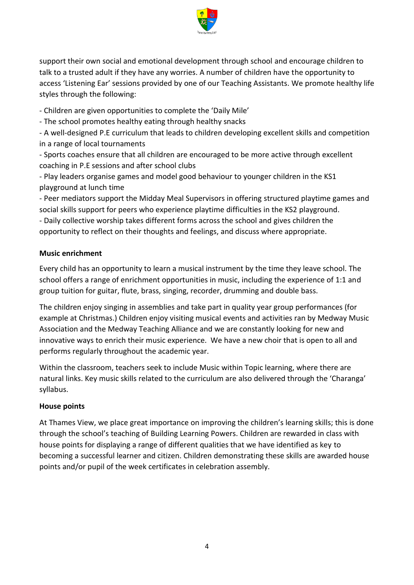

support their own social and emotional development through school and encourage children to talk to a trusted adult if they have any worries. A number of children have the opportunity to access 'Listening Ear' sessions provided by one of our Teaching Assistants. We promote healthy life styles through the following:

- Children are given opportunities to complete the 'Daily Mile'

- The school promotes healthy eating through healthy snacks

- A well-designed P.E curriculum that leads to children developing excellent skills and competition in a range of local tournaments

- Sports coaches ensure that all children are encouraged to be more active through excellent coaching in P.E sessions and after school clubs

- Play leaders organise games and model good behaviour to younger children in the KS1 playground at lunch time

- Peer mediators support the Midday Meal Supervisors in offering structured playtime games and social skills support for peers who experience playtime difficulties in the KS2 playground.

- Daily collective worship takes different forms across the school and gives children the opportunity to reflect on their thoughts and feelings, and discuss where appropriate.

## **Music enrichment**

Every child has an opportunity to learn a musical instrument by the time they leave school. The school offers a range of enrichment opportunities in music, including the experience of 1:1 and group tuition for guitar, flute, brass, singing, recorder, drumming and double bass.

The children enjoy singing in assemblies and take part in quality year group performances (for example at Christmas.) Children enjoy visiting musical events and activities ran by Medway Music Association and the Medway Teaching Alliance and we are constantly looking for new and innovative ways to enrich their music experience. We have a new choir that is open to all and performs regularly throughout the academic year.

Within the classroom, teachers seek to include Music within Topic learning, where there are natural links. Key music skills related to the curriculum are also delivered through the 'Charanga' syllabus.

### **House points**

At Thames View, we place great importance on improving the children's learning skills; this is done through the school's teaching of Building Learning Powers. Children are rewarded in class with house points for displaying a range of different qualities that we have identified as key to becoming a successful learner and citizen. Children demonstrating these skills are awarded house points and/or pupil of the week certificates in celebration assembly.